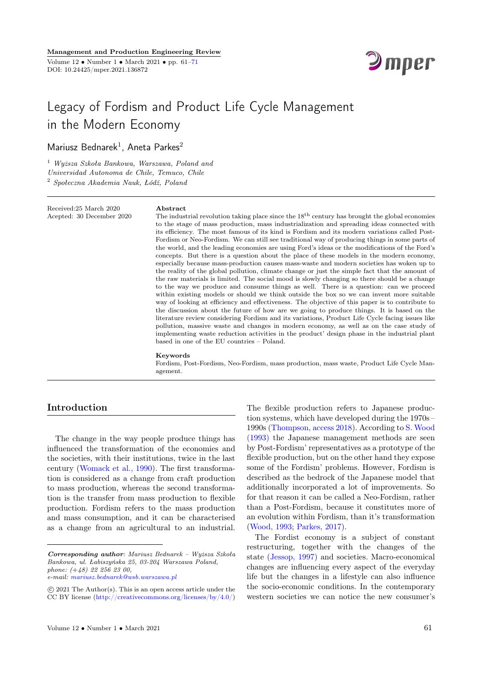

# Legacy of Fordism and Product Life Cycle Management in the Modern Economy

Mariusz Bednarek<sup>1</sup>, Aneta Parkes<sup>2</sup>

<sup>1</sup> Wyższa Szkoła Bankowa, Warszawa, Poland and Universidad Autonoma de Chile, Temuco, Chile <sup>2</sup> Społeczna Akademia Nauk, Łódź, Poland

Received:25 March 2020 Acepted: 30 December 2020

#### Abstract

The industrial revolution taking place since the  $18<sup>th</sup>$  century has brought the global economies to the stage of mass production, mass industrialization and spreading ideas connected with its efficiency. The most famous of its kind is Fordism and its modern variations called Post-Fordism or Neo-Fordism. We can still see traditional way of producing things in some parts of the world, and the leading economies are using Ford's ideas or the modifications of the Ford's concepts. But there is a question about the place of these models in the modern economy, especially because mass-production causes mass-waste and modern societies has woken up to the reality of the global pollution, climate change or just the simple fact that the amount of the raw materials is limited. The social mood is slowly changing so there should be a change to the way we produce and consume things as well. There is a question: can we proceed within existing models or should we think outside the box so we can invent more suitable way of looking at efficiency and effectiveness. The objective of this paper is to contribute to the discussion about the future of how are we going to produce things. It is based on the literature review considering Fordism and its variations, Product Life Cycle facing issues like pollution, massive waste and changes in modern economy, as well as on the case study of implementing waste reduction activities in the product' design phase in the industrial plant based in one of the EU countries – Poland.

#### Keywords

Fordism, Post-Fordism, Neo-Fordism, mass production, mass waste, Product Life Cycle Management.

### Introduction

The change in the way people produce things has influenced the transformation of the economies and the societies, with their institutions, twice in the last century [\(Womack et al., 1990\)](#page-9-0). The first transformation is considered as a change from craft production to mass production, whereas the second transformation is the transfer from mass production to flexible production. Fordism refers to the mass production and mass consumption, and it can be characterised as a change from an agricultural to an industrial.

The flexible production refers to Japanese production systems, which have developed during the 1970s – 1990s [\(Thompson, access 2018\)](#page-9-0). According to [S. Wood](#page-9-0) [\(1993\)](#page-9-0) the Japanese management methods are seen by Post-Fordism' representatives as a prototype of the flexible production, but on the other hand they expose some of the Fordism' problems. However, Fordism is described as the bedrock of the Japanese model that additionally incorporated a lot of improvements. So for that reason it can be called a Neo-Fordism, rather than a Post-Fordism, because it constitutes more of an evolution within Fordism, than it's transformation [\(Wood, 1993;](#page-9-0) [Parkes, 2017\)](#page-9-0).

The Fordist economy is a subject of constant restructuring, together with the changes of the state [\(Jessop, 1997\)](#page-9-0) and societies. Macro-economical changes are influencing every aspect of the everyday life but the changes in a lifestyle can also influence the socio-economic conditions. In the contemporary western societies we can notice the new consumer's

Corresponding author: Mariusz Bednarek – Wyższa Szkoła Bankowa, ul. Łabiszyńska 25, 03-204 Warszawa Poland, phone: (+48) 22 256 23 00, e-mail: [mariusz.bednarek@wsb.warszawa.pl](mailto:mariusz.bednarek@wsb.warszawa.pl)

c 2021 The Author(s). This is an open access article under the CC BY license [\(http://creativecommons.org/licenses/by/4.0/\)](http://creativecommons.org/licenses/by/4.0/)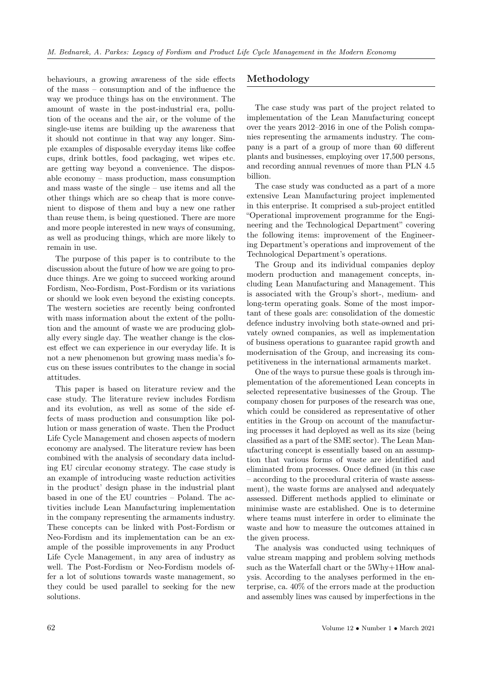behaviours, a growing awareness of the side effects of the mass – consumption and of the influence the way we produce things has on the environment. The amount of waste in the post-industrial era, pollution of the oceans and the air, or the volume of the single-use items are building up the awareness that it should not continue in that way any longer. Simple examples of disposable everyday items like coffee cups, drink bottles, food packaging, wet wipes etc. are getting way beyond a convenience. The disposable economy – mass production, mass consumption and mass waste of the single – use items and all the other things which are so cheap that is more convenient to dispose of them and buy a new one rather than reuse them, is being questioned. There are more and more people interested in new ways of consuming, as well as producing things, which are more likely to remain in use.

The purpose of this paper is to contribute to the discussion about the future of how we are going to produce things. Are we going to succeed working around Fordism, Neo-Fordism, Post-Fordism or its variations or should we look even beyond the existing concepts. The western societies are recently being confronted with mass information about the extent of the pollution and the amount of waste we are producing globally every single day. The weather change is the closest effect we can experience in our everyday life. It is not a new phenomenon but growing mass media's focus on these issues contributes to the change in social attitudes.

This paper is based on literature review and the case study. The literature review includes Fordism and its evolution, as well as some of the side effects of mass production and consumption like pollution or mass generation of waste. Then the Product Life Cycle Management and chosen aspects of modern economy are analysed. The literature review has been combined with the analysis of secondary data including EU circular economy strategy. The case study is an example of introducing waste reduction activities in the product' design phase in the industrial plant based in one of the EU countries – Poland. The activities include Lean Manufacturing implementation in the company representing the armaments industry. These concepts can be linked with Post-Fordism or Neo-Fordism and its implementation can be an example of the possible improvements in any Product Life Cycle Management, in any area of industry as well. The Post-Fordism or Neo-Fordism models offer a lot of solutions towards waste management, so they could be used parallel to seeking for the new solutions.

# Methodology

The case study was part of the project related to implementation of the Lean Manufacturing concept over the years 2012–2016 in one of the Polish companies representing the armaments industry. The company is a part of a group of more than 60 different plants and businesses, employing over 17,500 persons, and recording annual revenues of more than PLN 4.5 billion.

The case study was conducted as a part of a more extensive Lean Manufacturing project implemented in this enterprise. It comprised a sub-project entitled "Operational improvement programme for the Engineering and the Technological Department" covering the following items: improvement of the Engineering Department's operations and improvement of the Technological Department's operations.

The Group and its individual companies deploy modern production and management concepts, including Lean Manufacturing and Management. This is associated with the Group's short-, medium- and long-term operating goals. Some of the most important of these goals are: consolidation of the domestic defence industry involving both state-owned and privately owned companies, as well as implementation of business operations to guarantee rapid growth and modernisation of the Group, and increasing its competitiveness in the international armaments market.

One of the ways to pursue these goals is through implementation of the aforementioned Lean concepts in selected representative businesses of the Group. The company chosen for purposes of the research was one, which could be considered as representative of other entities in the Group on account of the manufacturing processes it had deployed as well as its size (being classified as a part of the SME sector). The Lean Manufacturing concept is essentially based on an assumption that various forms of waste are identified and eliminated from processes. Once defined (in this case – according to the procedural criteria of waste assessment), the waste forms are analysed and adequately assessed. Different methods applied to eliminate or minimise waste are established. One is to determine where teams must interfere in order to eliminate the waste and how to measure the outcomes attained in the given process.

The analysis was conducted using techniques of value stream mapping and problem solving methods such as the Waterfall chart or the 5Why+1How analysis. According to the analyses performed in the enterprise, ca. 40% of the errors made at the production and assembly lines was caused by imperfections in the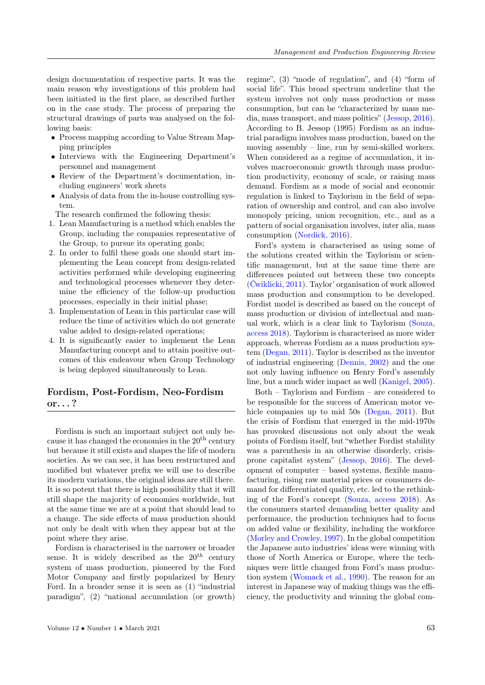design documentation of respective parts. It was the main reason why investigations of this problem had been initiated in the first place, as described further on in the case study. The process of preparing the structural drawings of parts was analysed on the following basis:

- Process mapping according to Value Stream Mapping principles
- Interviews with the Engineering Department's personnel and management
- Review of the Department's documentation, including engineers' work sheets
- Analysis of data from the in-house controlling system.

The research confirmed the following thesis:

- 1. Lean Manufacturing is a method which enables the Group, including the companies representative of the Group, to pursue its operating goals;
- 2. In order to fulfil these goals one should start implementing the Lean concept from design-related activities performed while developing engineering and technological processes whenever they determine the efficiency of the follow-up production processes, especially in their initial phase;
- 3. Implementation of Lean in this particular case will reduce the time of activities which do not generate value added to design-related operations;
- 4. It is significantly easier to implement the Lean Manufacturing concept and to attain positive outcomes of this endeavour when Group Technology is being deployed simultaneously to Lean.

# Fordism, Post-Fordism, Neo-Fordism or. . . ?

Fordism is such an important subject not only because it has changed the economies in the  $20<sup>th</sup>$  century but because it still exists and shapes the life of modern societies. As we can see, it has been restructured and modified but whatever prefix we will use to describe its modern variations, the original ideas are still there. It is so potent that there is high possibility that it will still shape the majority of economies worldwide, but at the same time we are at a point that should lead to a change. The side effects of mass production should not only be dealt with when they appear but at the point where they arise.

Fordism is characterised in the narrower or broader sense. It is widely described as the  $20^{th}$  century system of mass production, pioneered by the Ford Motor Company and firstly popularized by Henry Ford. In a broader sense it is seen as (1) "industrial paradigm", (2) "national accumulation (or growth) regime", (3) "mode of regulation", and (4) "form of social life". This broad spectrum underline that the system involves not only mass production or mass consumption, but can be "characterized by mass media, mass transport, and mass politics" [\(Jessop, 2016\)](#page-9-0). According to B. Jessop (1995) Fordism as an industrial paradigm involves mass production, based on the moving assembly – line, run by semi-skilled workers. When considered as a regime of accumulation, it involves macroeconomic growth through mass production productivity, economy of scale, or raising mass demand. Fordism as a mode of social and economic regulation is linked to Taylorism in the field of separation of ownership and control, and can also involve monopoly pricing, union recognition, etc., and as a pattern of social organisation involves, inter alia, mass consumption [\(Nordick, 2016\)](#page-9-0).

Ford's system is characterised as using some of the solutions created within the Taylorism or scientific management, but at the same time there are differences pointed out between these two concepts [\(Ćwiklicki, 2011\)](#page-9-0). Taylor' organisation of work allowed mass production and consumption to be developed. Fordist model is described as based on the concept of mass production or division of intellectual and manual work, which is a clear link to Taylorism [\(Souza,](#page-9-0) [access 2018\)](#page-9-0). Taylorism is characterised as more wider approach, whereas Fordism as a mass production system [\(Degan, 2011\)](#page-9-0). Taylor is described as the inventor of industrial engineering [\(Dennis, 2002\)](#page-9-0) and the one not only having influence on Henry Ford's assembly line, but a much wider impact as well [\(Kanigel, 2005\)](#page-9-0).

Both – Taylorism and Fordism – are considered to be responsible for the success of American motor vehicle companies up to mid 50s [\(Degan, 2011\)](#page-9-0). But the crisis of Fordism that emerged in the mid-1970s has provoked discussions not only about the weak points of Fordism itself, but "whether Fordist stability was a parenthesis in an otherwise disorderly, crisisprone capitalist system" [\(Jessop, 2016\)](#page-9-0). The development of computer – based systems, flexible manufacturing, rising raw material prices or consumers demand for differentiated quality, etc. led to the rethinking of the Ford's concept [\(Souza, access 2018\)](#page-9-0). As the consumers started demanding better quality and performance, the production techniques had to focus on added value or flexibility, including the workforce [\(Morley and Crowley, 1997\)](#page-9-0). In the global competition the Japanese auto industries' ideas were winning with those of North America or Europe, where the techniques were little changed from Ford's mass production system [\(Womack et al., 1990\)](#page-9-0). The reason for an interest in Japanese way of making things was the efficiency, the productivity and winning the global com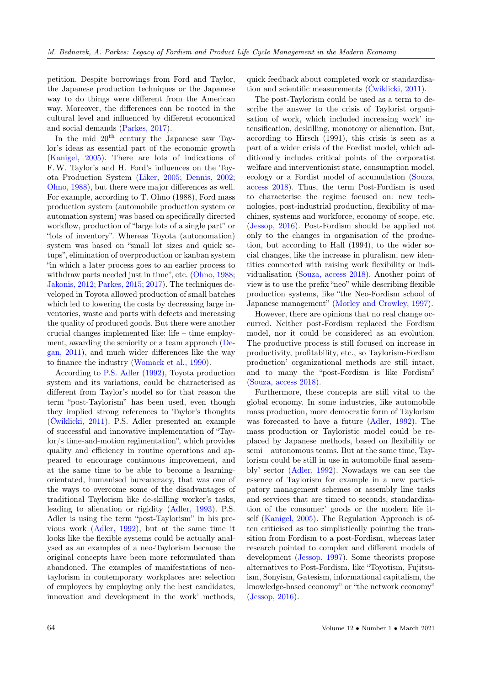petition. Despite borrowings from Ford and Taylor, the Japanese production techniques or the Japanese way to do things were different from the American way. Moreover, the differences can be rooted in the cultural level and influenced by different economical and social demands [\(Parkes, 2017\)](#page-9-0).

In the mid  $20<sup>th</sup>$  century the Japanese saw Taylor's ideas as essential part of the economic growth [\(Kanigel, 2005\)](#page-9-0). There are lots of indications of F.W. Taylor's and H. Ford's influences on the Toyota Production System [\(Liker, 2005;](#page-9-0) [Dennis, 2002;](#page-9-0) [Ohno, 1988\)](#page-9-0), but there were major differences as well. For example, according to T. Ohno (1988), Ford mass production system (automobile production system or automation system) was based on specifically directed workflow, production of "large lots of a single part" or "lots of inventory". Whereas Toyota (autonomation) system was based on "small lot sizes and quick setups", elimination of overproduction or kanban system "in which a later process goes to an earlier process to withdraw parts needed just in time", etc. [\(Ohno, 1988;](#page-9-0) [Jakonis, 2012;](#page-9-0) [Parkes, 2015;](#page-9-0) [2017\)](#page-9-0). The techniques developed in Toyota allowed production of small batches which led to lowering the costs by decreasing large inventories, waste and parts with defects and increasing the quality of produced goods. But there were another crucial changes implemented like: life – time employment, awarding the seniority or a team approach [\(De](#page-9-0)[gan, 2011\)](#page-9-0), and much wider differences like the way to finance the industry [\(Womack et al., 1990\)](#page-9-0).

According to [P.S. Adler \(1992\),](#page-9-0) Toyota production system and its variations, could be characterised as different from Taylor's model so for that reason the term "post-Taylorism" has been used, even though they implied strong references to Taylor's thoughts [\(Ćwiklicki, 2011\)](#page-9-0). P.S. Adler presented an example of successful and innovative implementation of "Taylor/s time-and-motion regimentation", which provides quality and efficiency in routine operations and appeared to encourage continuous improvement, and at the same time to be able to become a learningorientated, humanised bureaucracy, that was one of the ways to overcome some of the disadvantages of traditional Taylorism like de-skilling worker's tasks, leading to alienation or rigidity [\(Adler, 1993\)](#page-9-0). P.S. Adler is using the term "post-Taylorism" in his previous work [\(Adler, 1992\)](#page-9-0), but at the same time it looks like the flexible systems could be actually analysed as an examples of a neo-Taylorism because the original concepts have been more reformulated than abandoned. The examples of manifestations of neotaylorism in contemporary workplaces are: selection of employees by employing only the best candidates, innovation and development in the work' methods,

quick feedback about completed work or standardisation and scientific measurements [\(Ćwiklicki, 2011\)](#page-9-0).

The post-Taylorism could be used as a term to describe the answer to the crisis of Taylorist organisation of work, which included increasing work' intensification, deskilling, monotony or alienation. But, according to Hirsch (1991), this crisis is seen as a part of a wider crisis of the Fordist model, which additionally includes critical points of the corporatist welfare and interventionist state, consumption model, ecology or a Fordist model of accumulation [\(Souza,](#page-9-0) [access 2018\)](#page-9-0). Thus, the term Post-Fordism is used to characterise the regime focused on: new technologies, post-industrial production, flexibility of machines, systems and workforce, economy of scope, etc. [\(Jessop, 2016\)](#page-9-0). Post-Fordism should be applied not only to the changes in organisation of the production, but according to Hall (1994), to the wider social changes, like the increase in pluralism, new identities connected with raising work flexibility or individualisation [\(Souza, access 2018\)](#page-9-0). Another point of view is to use the prefix "neo" while describing flexible production systems, like "the Neo-Fordism school of Japanese management" [\(Morley and Crowley, 1997\)](#page-9-0).

However, there are opinions that no real change occurred. Neither post-Fordism replaced the Fordism model, nor it could be considered as an evolution. The productive process is still focused on increase in productivity, profitability, etc., so Taylorism-Fordism production' organizational methods are still intact, and to many the "post-Fordism is like Fordism" [\(Souza, access 2018\)](#page-9-0).

Furthermore, these concepts are still vital to the global economy. In some industries, like automobile mass production, more democratic form of Taylorism was forecasted to have a future [\(Adler, 1992\)](#page-9-0). The mass production or Tayloristic model could be replaced by Japanese methods, based on flexibility or semi – autonomous teams. But at the same time, Taylorism could be still in use in automobile final assembly' sector [\(Adler, 1992\)](#page-9-0). Nowadays we can see the essence of Taylorism for example in a new participatory management schemes or assembly line tasks and services that are timed to seconds, standardization of the consumer' goods or the modern life itself [\(Kanigel, 2005\)](#page-9-0). The Regulation Approach is often criticised as too simplistically pointing the transition from Fordism to a post-Fordism, whereas later research pointed to complex and different models of development [\(Jessop, 1997\)](#page-9-0). Some theorists propose alternatives to Post-Fordism, like "Toyotism, Fujitsuism, Sonyism, Gatesism, informational capitalism, the knowledge-based economy" or "the network economy" [\(Jessop, 2016\)](#page-9-0).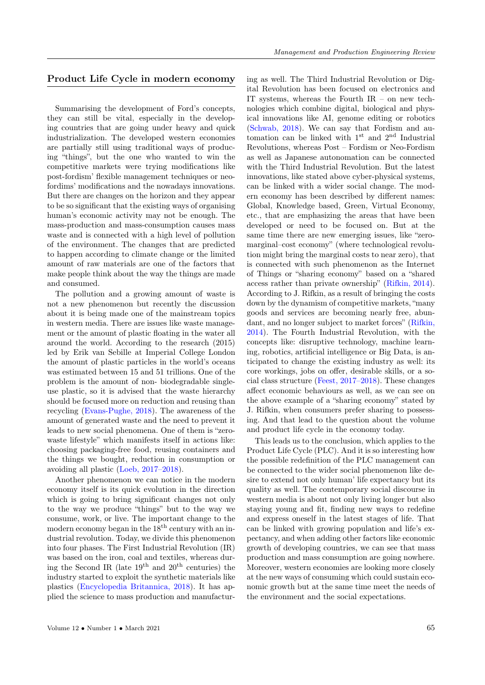# Product Life Cycle in modern economy

Summarising the development of Ford's concepts, they can still be vital, especially in the developing countries that are going under heavy and quick industrialization. The developed western economies are partially still using traditional ways of producing "things", but the one who wanted to win the competitive markets were trying modifications like post-fordism' flexible management techniques or neofordims' modifications and the nowadays innovations. But there are changes on the horizon and they appear to be so significant that the existing ways of organising human's economic activity may not be enough. The mass-production and mass-consumption causes mass waste and is connected with a high level of pollution of the environment. The changes that are predicted to happen according to climate change or the limited amount of raw materials are one of the factors that make people think about the way the things are made and consumed.

The pollution and a growing amount of waste is not a new phenomenon but recently the discussion about it is being made one of the mainstream topics in western media. There are issues like waste management or the amount of plastic floating in the water all around the world. According to the research (2015) led by Erik van Sebille at Imperial College London the amount of plastic particles in the world's oceans was estimated between 15 and 51 trillions. One of the problem is the amount of non- biodegradable singleuse plastic, so it is advised that the waste hierarchy should be focused more on reduction and reusing than recycling [\(Evans-Pughe, 2018\)](#page-9-0). The awareness of the amount of generated waste and the need to prevent it leads to new social phenomena. One of them is "zerowaste lifestyle" which manifests itself in actions like: choosing packaging-free food, reusing containers and the things we bought, reduction in consumption or avoiding all plastic [\(Loeb, 2017–2018\)](#page-9-0).

Another phenomenon we can notice in the modern economy itself is its quick evolution in the direction which is going to bring significant changes not only to the way we produce "things" but to the way we consume, work, or live. The important change to the modern economy began in the  $18<sup>th</sup>$  century with an industrial revolution. Today, we divide this phenomenon into four phases. The First Industrial Revolution (IR) was based on the iron, coal and textiles, whereas during the Second IR (late  $19<sup>th</sup>$  and  $20<sup>th</sup>$  centuries) the industry started to exploit the synthetic materials like plastics [\(Encyclopedia Britannica, 2018\)](#page-9-0). It has applied the science to mass production and manufacturing as well. The Third Industrial Revolution or Digital Revolution has been focused on electronics and IT systems, whereas the Fourth IR – on new technologies which combine digital, biological and physical innovations like AI, genome editing or robotics [\(Schwab, 2018\)](#page-9-0). We can say that Fordism and automation can be linked with 1st and 2nd Industrial Revolutions, whereas Post – Fordism or Neo-Fordism as well as Japanese autonomation can be connected with the Third Industrial Revolution. But the latest innovations, like stated above cyber-physical systems, can be linked with a wider social change. The modern economy has been described by different names: Global, Knowledge based, Green, Virtual Economy, etc., that are emphasizing the areas that have been developed or need to be focused on. But at the same time there are new emerging issues, like "zeromarginal–cost economy" (where technological revolution might bring the marginal costs to near zero), that is connected with such phenomenon as the Internet of Things or "sharing economy" based on a "shared access rather than private ownership" [\(Rifkin, 2014\)](#page-9-0). According to J. Rifkin, as a result of bringing the costs down by the dynamism of competitive markets, "many goods and services are becoming nearly free, abundant, and no longer subject to market forces" [\(Rifkin,](#page-9-0) [2014\)](#page-9-0). The Fourth Industrial Revolution, with the concepts like: disruptive technology, machine learning, robotics, artificial intelligence or Big Data, is anticipated to change the existing industry as well: its core workings, jobs on offer, desirable skills, or a social class structure [\(Feest, 2017–2018\)](#page-9-0). These changes affect economic behaviours as well, as we can see on the above example of a "sharing economy" stated by J. Rifkin, when consumers prefer sharing to possessing. And that lead to the question about the volume and product life cycle in the economy today.

This leads us to the conclusion, which applies to the Product Life Cycle (PLC). And it is so interesting how the possible redefinition of the PLC management can be connected to the wider social phenomenon like desire to extend not only human' life expectancy but its quality as well. The contemporary social discourse in western media is about not only living longer but also staying young and fit, finding new ways to redefine and express oneself in the latest stages of life. That can be linked with growing population and life's expectancy, and when adding other factors like economic growth of developing countries, we can see that mass production and mass consumption are going nowhere. Moreover, western economies are looking more closely at the new ways of consuming which could sustain economic growth but at the same time meet the needs of the environment and the social expectations.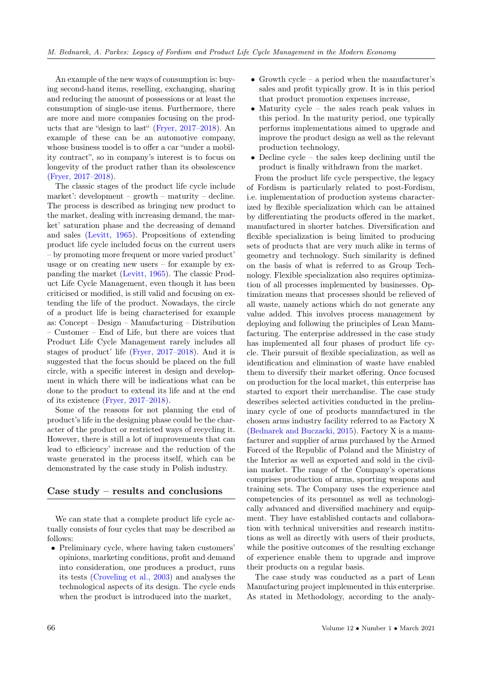An example of the new ways of consumption is: buying second-hand items, reselling, exchanging, sharing and reducing the amount of possessions or at least the consumption of single-use items. Furthermore, there are more and more companies focusing on the products that are "design to last" [\(Fryer, 2017–2018\)](#page-9-0). An example of these can be an automotive company, whose business model is to offer a car "under a mobility contract", so in company's interest is to focus on longevity of the product rather than its obsolescence [\(Fryer, 2017–2018\)](#page-9-0).

The classic stages of the product life cycle include market': development – growth – maturity – decline. The process is described as bringing new product to the market, dealing with increasing demand, the market' saturation phase and the decreasing of demand and sales [\(Levitt, 1965\)](#page-9-0). Propositions of extending product life cycle included focus on the current users – by promoting more frequent or more varied product' usage or on creating new users – for example by expanding the market [\(Levitt, 1965\)](#page-9-0). The classic Product Life Cycle Management, even though it has been criticised or modified, is still valid and focusing on extending the life of the product. Nowadays, the circle of a product life is being characterised for example as: Concept – Design – Manufacturing – Distribution – Customer – End of Life, but there are voices that Product Life Cycle Management rarely includes all stages of product' life [\(Fryer, 2017–2018\)](#page-9-0). And it is suggested that the focus should be placed on the full circle, with a specific interest in design and development in which there will be indications what can be done to the product to extend its life and at the end of its existence [\(Fryer, 2017–2018\)](#page-9-0).

Some of the reasons for not planning the end of product's life in the designing phase could be the character of the product or restricted ways of recycling it. However, there is still a lot of improvements that can lead to efficiency' increase and the reduction of the waste generated in the process itself, which can be demonstrated by the case study in Polish industry.

#### Case study – results and conclusions

We can state that a complete product life cycle actually consists of four cycles that may be described as follows:

• Preliminary cycle, where having taken customers' opinions, marketing conditions, profit and demand into consideration, one produces a product, runs its tests [\(Croveling et al., 2003\)](#page-9-0) and analyses the technological aspects of its design. The cycle ends when the product is introduced into the market,

- Growth cycle a period when the manufacturer's sales and profit typically grow. It is in this period that product promotion expenses increase,
- Maturity cycle the sales reach peak values in this period. In the maturity period, one typically performs implementations aimed to upgrade and improve the product design as well as the relevant production technology,
- Decline cycle the sales keep declining until the product is finally withdrawn from the market.

From the product life cycle perspective, the legacy of Fordism is particularly related to post-Fordism, i.e. implementation of production systems characterized by flexible specialization which can be attained by differentiating the products offered in the market, manufactured in shorter batches. Diversification and flexible specialization is being limited to producing sets of products that are very much alike in terms of geometry and technology. Such similarity is defined on the basis of what is referred to as Group Technology. Flexible specialization also requires optimization of all processes implemented by businesses. Optimization means that processes should be relieved of all waste, namely actions which do not generate any value added. This involves process management by deploying and following the principles of Lean Manufacturing. The enterprise addressed in the case study has implemented all four phases of product life cycle. Their pursuit of flexible specialization, as well as identification and elimination of waste have enabled them to diversify their market offering. Once focused on production for the local market, this enterprise has started to export their merchandise. The case study describes selected activities conducted in the preliminary cycle of one of products manufactured in the chosen arms industry facility referred to as Factory X [\(Bednarek and Buczacki, 2015\)](#page-9-0). Factory X is a manufacturer and supplier of arms purchased by the Armed Forced of the Republic of Poland and the Ministry of the Interior as well as exported and sold in the civilian market. The range of the Company's operations comprises production of arms, sporting weapons and training sets. The Company uses the experience and competencies of its personnel as well as technologically advanced and diversified machinery and equipment. They have established contacts and collaboration with technical universities and research institutions as well as directly with users of their products, while the positive outcomes of the resulting exchange of experience enable them to upgrade and improve their products on a regular basis.

The case study was conducted as a part of Lean Manufacturing project implemented in this enterprise. As stated in Methodology, according to the analy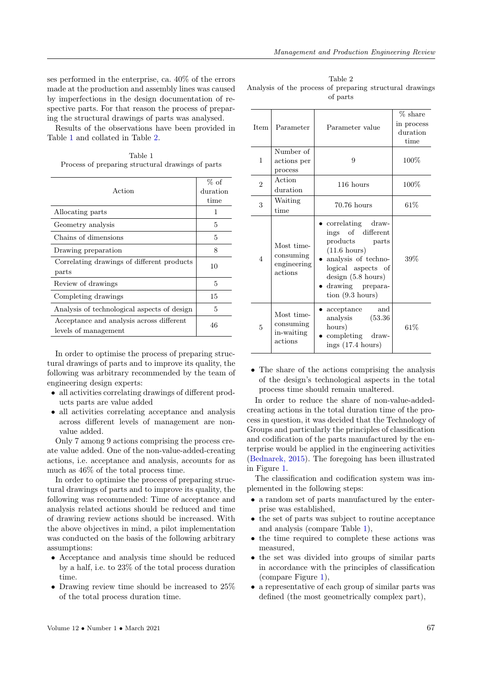ses performed in the enterprise, ca. 40% of the errors made at the production and assembly lines was caused by imperfections in the design documentation of respective parts. For that reason the process of preparing the structural drawings of parts was analysed.

Results of the observations have been provided in Table [1](#page-6-0) and collated in Table [2.](#page-6-1)

<span id="page-6-0"></span>Table 1 Process of preparing structural drawings of parts

| Action                                                           | $%$ of<br>duration<br>time |
|------------------------------------------------------------------|----------------------------|
| Allocating parts                                                 | 1                          |
| Geometry analysis                                                | 5                          |
| Chains of dimensions                                             | 5                          |
| Drawing preparation                                              | 8                          |
| Correlating drawings of different products<br>parts              | 10                         |
| Review of drawings                                               | 5                          |
| Completing drawings                                              | 15                         |
| Analysis of technological aspects of design                      | 5                          |
| Acceptance and analysis across different<br>levels of management | 46                         |

In order to optimise the process of preparing structural drawings of parts and to improve its quality, the following was arbitrary recommended by the team of engineering design experts:

- all activities correlating drawings of different products parts are value added
- all activities correlating acceptance and analysis across different levels of management are nonvalue added.

Only 7 among 9 actions comprising the process create value added. One of the non-value-added-creating actions, i.e. acceptance and analysis, accounts for as much as 46% of the total process time.

In order to optimise the process of preparing structural drawings of parts and to improve its quality, the following was recommended: Time of acceptance and analysis related actions should be reduced and time of drawing review actions should be increased. With the above objectives in mind, a pilot implementation was conducted on the basis of the following arbitrary assumptions:

- Acceptance and analysis time should be reduced by a half, i.e. to 23% of the total process duration time.
- Drawing review time should be increased to  $25\%$ of the total process duration time.

<span id="page-6-1"></span>Table 2 Analysis of the process of preparing structural drawings of parts

| <b>Item</b>    | Parameter                                         | Parameter value                                                                                                                                                                                           | % share<br>in process<br>duration<br>time |  |  |
|----------------|---------------------------------------------------|-----------------------------------------------------------------------------------------------------------------------------------------------------------------------------------------------------------|-------------------------------------------|--|--|
| 1              | Number of<br>actions per<br>process               | 9                                                                                                                                                                                                         | $100\%$                                   |  |  |
| $\overline{2}$ | Action<br>duration                                | 116 hours                                                                                                                                                                                                 | $100\%$                                   |  |  |
| 3              | Waiting<br>time                                   | $70.76$ hours                                                                                                                                                                                             | 61%                                       |  |  |
| $\overline{4}$ | Most time-<br>consuming<br>engineering<br>actions | correlating draw-<br>ings of different<br>products<br>parts<br>$(11.6 \text{ hours})$<br>analysis of techno-<br>logical aspects of<br>design (5.8 hours)<br>drawing prepara-<br>$\frac{1}{2}$ (9.3 hours) | 39%                                       |  |  |
| 5              | Most time-<br>consuming<br>in-waiting<br>actions  | and<br>acceptance<br>analysis<br>(53.36)<br>hours)<br>completing draw-<br>ings $(17.4 \text{ hours})$                                                                                                     | 61%                                       |  |  |

• The share of the actions comprising the analysis of the design's technological aspects in the total process time should remain unaltered.

In order to reduce the share of non-value-addedcreating actions in the total duration time of the process in question, it was decided that the Technology of Groups and particularly the principles of classification and codification of the parts manufactured by the enterprise would be applied in the engineering activities [\(Bednarek, 2015\)](#page-9-0). The foregoing has been illustrated in Figure [1.](#page-7-0)

The classification and codification system was implemented in the following steps:

- a random set of parts manufactured by the enterprise was established,
- the set of parts was subject to routine acceptance and analysis (compare Table [1\)](#page-6-0),
- the time required to complete these actions was measured,
- the set was divided into groups of similar parts in accordance with the principles of classification (compare Figure [1\)](#page-7-0),
- a representative of each group of similar parts was defined (the most geometrically complex part),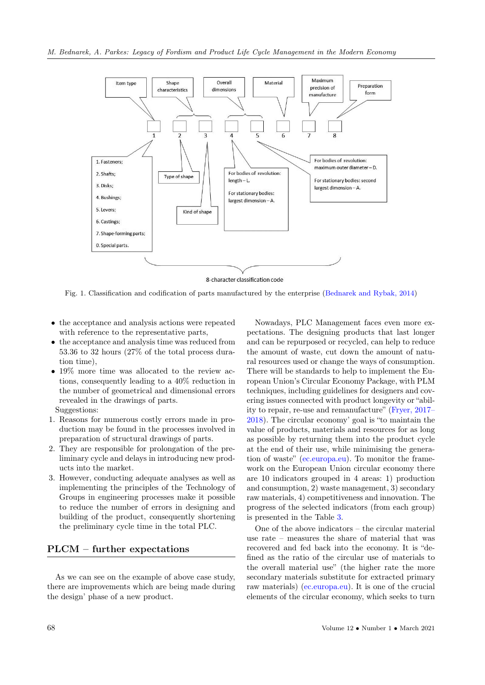<span id="page-7-0"></span>

8-character classification code

Fig. 1. Classification and codification of parts manufactured by the enterprise [\(Bednarek and Rybak, 2014\)](#page-9-0)

- the acceptance and analysis actions were repeated with reference to the representative parts,
- the acceptance and analysis time was reduced from 53.36 to 32 hours (27% of the total process duration time),
- 19% more time was allocated to the review actions, consequently leading to a 40% reduction in the number of geometrical and dimensional errors revealed in the drawings of parts.

Suggestions:

- 1. Reasons for numerous costly errors made in production may be found in the processes involved in preparation of structural drawings of parts.
- 2. They are responsible for prolongation of the preliminary cycle and delays in introducing new products into the market.
- 3. However, conducting adequate analyses as well as implementing the principles of the Technology of Groups in engineering processes make it possible to reduce the number of errors in designing and building of the product, consequently shortening the preliminary cycle time in the total PLC.

### PLCM – further expectations

As we can see on the example of above case study, there are improvements which are being made during the design' phase of a new product.

Nowadays, PLC Management faces even more expectations. The designing products that last longer and can be repurposed or recycled, can help to reduce the amount of waste, cut down the amount of natural resources used or change the ways of consumption. There will be standards to help to implement the European Union's Circular Economy Package, with PLM techniques, including guidelines for designers and covering issues connected with product longevity or "ability to repair, re-use and remanufacture" [\(Fryer, 2017–](#page-9-0) [2018\)](#page-9-0). The circular economy' goal is "to maintain the value of products, materials and resources for as long as possible by returning them into the product cycle at the end of their use, while minimising the generation of waste" [\(ec.europa.eu\)](#page-9-0). To monitor the framework on the European Union circular economy there are 10 indicators grouped in 4 areas: 1) production and consumption, 2) waste management, 3) secondary raw materials, 4) competitiveness and innovation. The progress of the selected indicators (from each group) is presented in the Table [3.](#page-8-0)

One of the above indicators – the circular material use rate – measures the share of material that was recovered and fed back into the economy. It is "defined as the ratio of the circular use of materials to the overall material use" (the higher rate the more secondary materials substitute for extracted primary raw materials) [\(ec.europa.eu\)](#page-9-0). It is one of the crucial elements of the circular economy, which seeks to turn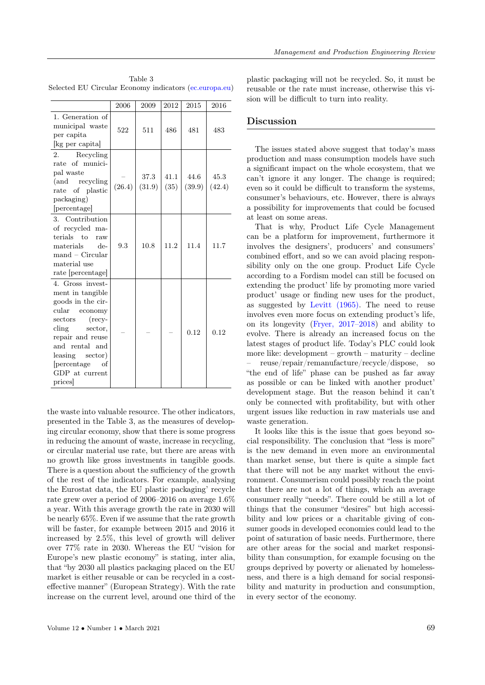|                                                                                                                                                                                                                                               | 2006   | 2009           | 2012         | 2015           | 2016           |
|-----------------------------------------------------------------------------------------------------------------------------------------------------------------------------------------------------------------------------------------------|--------|----------------|--------------|----------------|----------------|
| 1. Generation of<br>municipal waste<br>per capita<br>[kg per capita]                                                                                                                                                                          | 522    | 511            | 486          | 481            | 483            |
| Recycling<br>2.<br>rate of munici-<br>pal waste<br>(and recycling)<br>of plastic<br>rate<br>packaging)<br>[percentage]                                                                                                                        | (26.4) | 37.3<br>(31.9) | 41.1<br>(35) | 44.6<br>(39.9) | 45.3<br>(42.4) |
| 3. Contribution<br>of recycled ma-<br>terials to<br>raw<br>materials<br>$de-$<br>$mand - Circular$<br>material use<br>rate [percentage]                                                                                                       | 9.3    | 10.8           | 11.2         | 11.4           | 11.7           |
| 4. Gross invest-<br>ment in tangible<br>goods in the cir-<br>cular<br>economy<br>sectors<br>$(\text{recv}$<br>$\dim g$<br>sector,<br>repair and reuse<br>and rental and<br>leasing<br>sector)<br>percentage<br>οf<br>GDP at current<br>prices |        |                |              | 0.12           | 0.12           |

<span id="page-8-0"></span>Table 3 Selected EU Circular Economy indicators [\(ec.europa.eu\)](#page-9-0)

the waste into valuable resource. The other indicators, presented in the Table 3, as the measures of developing circular economy, show that there is some progress in reducing the amount of waste, increase in recycling, or circular material use rate, but there are areas with no growth like gross investments in tangible goods. There is a question about the sufficiency of the growth of the rest of the indicators. For example, analysing the Eurostat data, the EU plastic packaging' recycle rate grew over a period of 2006–2016 on average 1.6% a year. With this average growth the rate in 2030 will be nearly 65%. Even if we assume that the rate growth will be faster, for example between 2015 and 2016 it increased by 2.5%, this level of growth will deliver over 77% rate in 2030. Whereas the EU "vision for Europe's new plastic economy" is stating, inter alia, that "by 2030 all plastics packaging placed on the EU market is either reusable or can be recycled in a costeffective manner" (European Strategy). With the rate increase on the current level, around one third of the

plastic packaging will not be recycled. So, it must be reusable or the rate must increase, otherwise this vision will be difficult to turn into reality.

#### Discussion

The issues stated above suggest that today's mass production and mass consumption models have such a significant impact on the whole ecosystem, that we can't ignore it any longer. The change is required; even so it could be difficult to transform the systems, consumer's behaviours, etc. However, there is always a possibility for improvements that could be focused at least on some areas.

That is why, Product Life Cycle Management can be a platform for improvement, furthermore it involves the designers', producers' and consumers' combined effort, and so we can avoid placing responsibility only on the one group. Product Life Cycle according to a Fordism model can still be focused on extending the product' life by promoting more varied product' usage or finding new uses for the product, as suggested by [Levitt \(1965\).](#page-9-0) The need to reuse involves even more focus on extending product's life, on its longevity [\(Fryer, 2017–2018\)](#page-9-0) and ability to evolve. There is already an increased focus on the latest stages of product life. Today's PLC could look more like: development – growth – maturity – decline – reuse/repair/remanufacture/recycle/dispose, so "the end of life" phase can be pushed as far away as possible or can be linked with another product' development stage. But the reason behind it can't only be connected with profitability, but with other urgent issues like reduction in raw materials use and waste generation.

It looks like this is the issue that goes beyond social responsibility. The conclusion that "less is more" is the new demand in even more an environmental than market sense, but there is quite a simple fact that there will not be any market without the environment. Consumerism could possibly reach the point that there are not a lot of things, which an average consumer really "needs". There could be still a lot of things that the consumer "desires" but high accessibility and low prices or a charitable giving of consumer goods in developed economies could lead to the point of saturation of basic needs. Furthermore, there are other areas for the social and market responsibility than consumption, for example focusing on the groups deprived by poverty or alienated by homelessness, and there is a high demand for social responsibility and maturity in production and consumption, in every sector of the economy.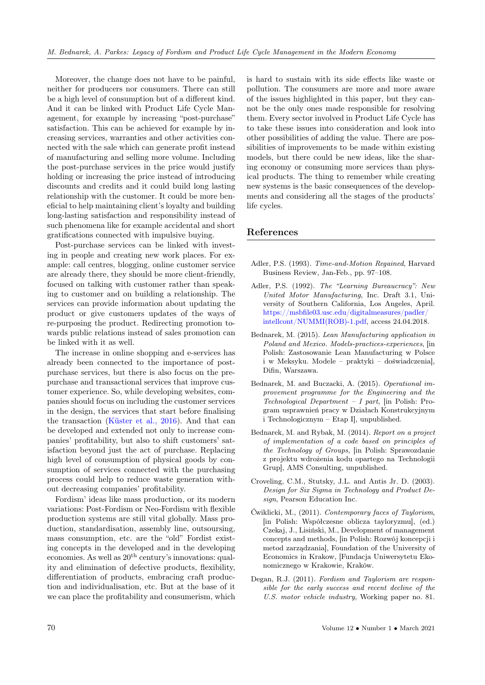Moreover, the change does not have to be painful, neither for producers nor consumers. There can still be a high level of consumption but of a different kind. And it can be linked with Product Life Cycle Management, for example by increasing "post-purchase" satisfaction. This can be achieved for example by increasing services, warranties and other activities connected with the sale which can generate profit instead of manufacturing and selling more volume. Including the post-purchase services in the price would justify holding or increasing the price instead of introducing discounts and credits and it could build long lasting relationship with the customer. It could be more beneficial to help maintaining client's loyalty and building long-lasting satisfaction and responsibility instead of such phenomena like for example accidental and short gratifications connected with impulsive buying.

Post-purchase services can be linked with investing in people and creating new work places. For example: call centres, blogging, online customer service are already there, they should be more client-friendly, focused on talking with customer rather than speaking to customer and on building a relationship. The services can provide information about updating the product or give customers updates of the ways of re-purposing the product. Redirecting promotion towards public relations instead of sales promotion can be linked with it as well.

The increase in online shopping and e-services has already been connected to the importance of postpurchase services, but there is also focus on the prepurchase and transactional services that improve customer experience. So, while developing websites, companies should focus on including the customer services in the design, the services that start before finalising the transaction [\(Küster et al., 2016\)](#page-9-0). And that can be developed and extended not only to increase companies' profitability, but also to shift customers' satisfaction beyond just the act of purchase. Replacing high level of consumption of physical goods by consumption of services connected with the purchasing process could help to reduce waste generation without decreasing companies' profitability.

Fordism' ideas like mass production, or its modern variations: Post-Fordism or Neo-Fordism with flexible production systems are still vital globally. Mass production, standardisation, assembly line, outsoursing, mass consumption, etc. are the "old" Fordist existing concepts in the developed and in the developing economies. As well as  $20<sup>th</sup>$  century's innovations: quality and elimination of defective products, flexibility, differentiation of products, embracing craft production and individualisation, etc. But at the base of it we can place the profitability and consumerism, which

is hard to sustain with its side effects like waste or pollution. The consumers are more and more aware of the issues highlighted in this paper, but they cannot be the only ones made responsible for resolving them. Every sector involved in Product Life Cycle has to take these issues into consideration and look into other possibilities of adding the value. There are possibilities of improvements to be made within existing models, but there could be new ideas, like the sharing economy or consuming more services than physical products. The thing to remember while creating new systems is the basic consequences of the developments and considering all the stages of the products' life cycles.

#### <span id="page-9-0"></span>References

- Adler, P.S. (1993). Time-and-Motion Regained, Harvard Business Review, Jan-Feb., pp. 97–108.
- Adler, P.S. (1992). The "Learning Bureaucracy": New United Motor Manufacturing, Inc. Draft 3.1, University of Southern California, Los Angeles, April. [https://msbfile03.usc.edu/digitalmeasures/padler/](https://msbfile03.usc.edu/digitalmeasures/padler/intellcont/NUMMI(ROB)-1.pdf) [intellcont/NUMMI\(ROB\)-1.pdf,](https://msbfile03.usc.edu/digitalmeasures/padler/intellcont/NUMMI(ROB)-1.pdf) access 24.04.2018.
- Bednarek, M. (2015). Lean Manufacturing application in Poland and Mexico. Models-practices-experiences, [in Polish: Zastosowanie Lean Manufacturing w Polsce i w Meksyku. Modele – praktyki – doświadczenia], Difin, Warszawa.
- Bednarek, M. and Buczacki, A. (2015). Operational improvement programme for the Engineering and the  $Technological Department - I part, [in Polish: Pro$ gram usprawnień pracy w Działach Konstrukcyjnym i Technologicznym – Etap I], unpublished.
- Bednarek, M. and Rybak, M. (2014). Report on a project of implementation of a code based on principles of the Technology of Groups, [in Polish: Sprawozdanie z projektu wdrożenia kodu opartego na Technologii Grup], AMS Consulting, unpublished.
- Croveling, C.M., Stutsky, J.L. and Antis Jr. D. (2003). Design for Six Sigma in Technology and Product Design, Pearson Education Inc.
- Ćwiklicki, M., (2011). Contemporary faces of Taylorism, [in Polish: Współczesne oblicza tayloryzmu], (ed.) Czekaj, J., Lisiński, M., Development of management concepts and methods, [in Polish: Rozwój koncepcji i metod zarządzania], Foundation of the University of Economics in Krakow, [Fundacja Uniwersytetu Ekonomicznego w Krakowie, Kraków.
- Degan, R.J. (2011). Fordism and Taylorism are responsible for the early success and recent decline of the U.S. motor vehicle industry, Working paper no. 81.